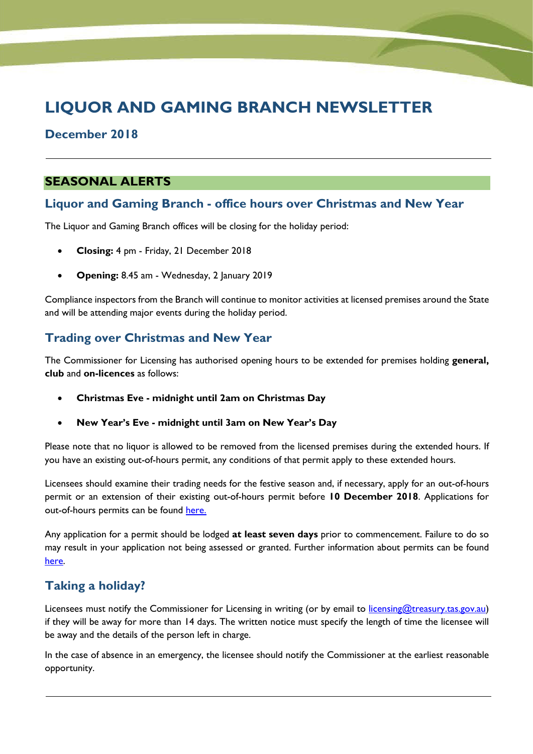# **LIQUOR AND GAMING BRANCH NEWSLETTER**

## **December 2018**

## **SEASONAL ALERTS**

### **Liquor and Gaming Branch - office hours over Christmas and New Year**

The Liquor and Gaming Branch offices will be closing for the holiday period:

- **Closing:** 4 pm Friday, 21 December 2018
- **Opening:** 8.45 am Wednesday, 2 January 2019

Compliance inspectors from the Branch will continue to monitor activities at licensed premises around the State and will be attending major events during the holiday period.

# **Trading over Christmas and New Year**

The Commissioner for Licensing has authorised opening hours to be extended for premises holding **general, club** and **on-licences** as follows:

- **Christmas Eve - midnight until 2am on Christmas Day**
- **New Year's Eve - midnight until 3am on New Year's Day**

Please note that no liquor is allowed to be removed from the licensed premises during the extended hours. If you have an existing out-of-hours permit, any conditions of that permit apply to these extended hours.

Licensees should examine their trading needs for the festive season and, if necessary, apply for an out-of-hours permit or an extension of their existing out-of-hours permit before **10 December 2018**. Applications for out-of-hours permits can be found [here](https://www.treasury.tas.gov.au/liquor-and-gaming/liquor/applying-to-sell-liquor/out-of-hours-on-or-off-permits).

Any application for a permit should be lodged **at least seven days** prior to commencement. Failure to do so may result in your application not being assessed or granted. Further information about permits can be found [here.](https://www.treasury.tas.gov.au/liquor-and-gaming/liquor/applying-to-sell-liquor/special-permits) 

# **Taking a holiday?**

Licensees must notify the Commissioner for Licensing in writing (or by email to [licensing@treasury.tas.gov.au\)](mailto:licensing@treasury.tas.gov.au) if they will be away for more than 14 days. The written notice must specify the length of time the licensee will be away and the details of the person left in charge.

In the case of absence in an emergency, the licensee should notify the Commissioner at the earliest reasonable opportunity.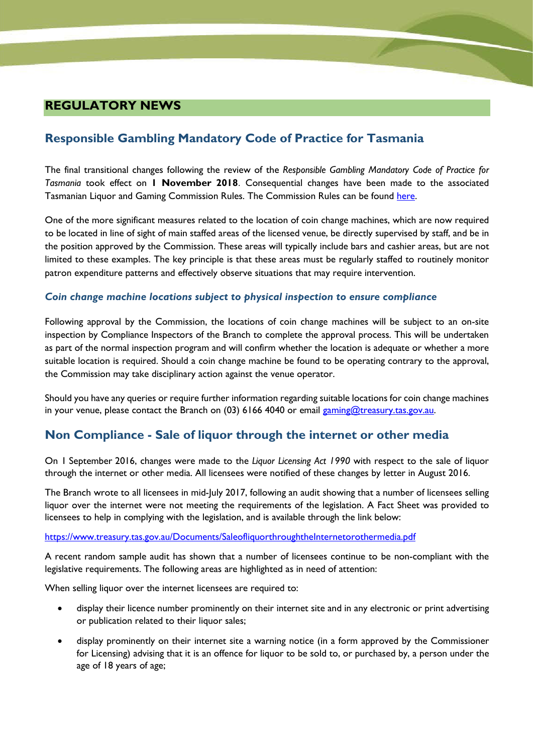# **REGULATORY NEWS**

# **Responsible Gambling Mandatory Code of Practice for Tasmania**

The final transitional changes following the review of the *Responsible Gambling Mandatory Code of Practice for Tasmania* took effect on **1 November 2018**. Consequential changes have been made to the associated Tasmanian Liquor and Gaming Commission Rules. The Commission Rules can be found [here.](https://www.treasury.tas.gov.au/liquor-and-gaming/legislation-and-data/legislation-gaming/tasmanian-liquor-and-gaming-commission-rules)

One of the more significant measures related to the location of coin change machines, which are now required to be located in line of sight of main staffed areas of the licensed venue, be directly supervised by staff, and be in the position approved by the Commission. These areas will typically include bars and cashier areas, but are not limited to these examples. The key principle is that these areas must be regularly staffed to routinely monitor patron expenditure patterns and effectively observe situations that may require intervention.

### *Coin change machine locations subject to physical inspection to ensure compliance*

Following approval by the Commission, the locations of coin change machines will be subject to an on-site inspection by Compliance Inspectors of the Branch to complete the approval process. This will be undertaken as part of the normal inspection program and will confirm whether the location is adequate or whether a more suitable location is required. Should a coin change machine be found to be operating contrary to the approval, the Commission may take disciplinary action against the venue operator.

Should you have any queries or require further information regarding suitable locations for coin change machines in your venue, please contact the Branch on (03) 6166 4040 or email [gaming@treasury.tas.gov.au.](mailto:gaming@treasury.tas.gov.au)

# **Non Compliance - Sale of liquor through the internet or other media**

On 1 September 2016, changes were made to the *Liquor Licensing Act 1990* with respect to the sale of liquor through the internet or other media. All licensees were notified of these changes by letter in August 2016.

The Branch wrote to all licensees in mid-July 2017, following an audit showing that a number of licensees selling liquor over the internet were not meeting the requirements of the legislation. A Fact Sheet was provided to licensees to help in complying with the legislation, and is available through the link below:

#### <https://www.treasury.tas.gov.au/Documents/SaleofliquorthroughtheInternetorothermedia.pdf>

A recent random sample audit has shown that a number of licensees continue to be non-compliant with the legislative requirements. The following areas are highlighted as in need of attention:

When selling liquor over the internet licensees are required to:

- display their licence number prominently on their internet site and in any electronic or print advertising or publication related to their liquor sales;
- display prominently on their internet site a warning notice (in a form approved by the Commissioner for Licensing) advising that it is an offence for liquor to be sold to, or purchased by, a person under the age of 18 years of age;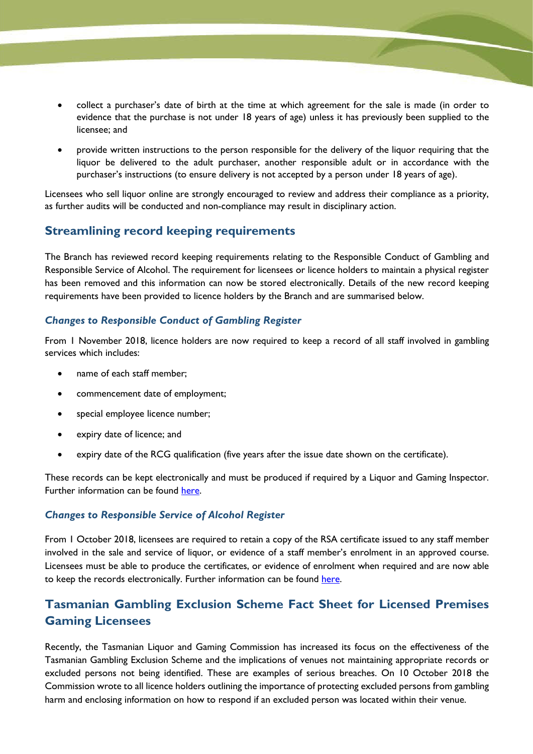- collect a purchaser's date of birth at the time at which agreement for the sale is made (in order to evidence that the purchase is not under 18 years of age) unless it has previously been supplied to the licensee; and
- provide written instructions to the person responsible for the delivery of the liquor requiring that the liquor be delivered to the adult purchaser, another responsible adult or in accordance with the purchaser's instructions (to ensure delivery is not accepted by a person under 18 years of age).

Licensees who sell liquor online are strongly encouraged to review and address their compliance as a priority, as further audits will be conducted and non-compliance may result in disciplinary action.

# **Streamlining record keeping requirements**

The Branch has reviewed record keeping requirements relating to the Responsible Conduct of Gambling and Responsible Service of Alcohol. The requirement for licensees or licence holders to maintain a physical register has been removed and this information can now be stored electronically. Details of the new record keeping requirements have been provided to licence holders by the Branch and are summarised below.

### *Changes to Responsible Conduct of Gambling Register*

From 1 November 2018, licence holders are now required to keep a record of all staff involved in gambling services which includes:

- name of each staff member;
- commencement date of employment;
- special employee licence number;
- expiry date of licence; and
- expiry date of the RCG qualification (five years after the issue date shown on the certificate).

These records can be kept electronically and must be produced if required by a Liquor and Gaming Inspector. Further information can be found [here.](https://www.treasury.tas.gov.au/liquor-and-gaming/gambling/resources-for-licence-holders)

### *Changes to Responsible Service of Alcohol Register*

From 1 October 2018, licensees are required to retain a copy of the RSA certificate issued to any staff member involved in the sale and service of liquor, or evidence of a staff member's enrolment in an approved course. Licensees must be able to produce the certificates, or evidence of enrolment when required and are now able to keep the records electronically. Further information can be found [here.](https://www.treasury.tas.gov.au/liquor-and-gaming/liquor/responsible-service-of-alcohol)

# **Tasmanian Gambling Exclusion Scheme Fact Sheet for Licensed Premises Gaming Licensees**

Recently, the Tasmanian Liquor and Gaming Commission has increased its focus on the effectiveness of the Tasmanian Gambling Exclusion Scheme and the implications of venues not maintaining appropriate records or excluded persons not being identified. These are examples of serious breaches. On 10 October 2018 the Commission wrote to all licence holders outlining the importance of protecting excluded persons from gambling harm and enclosing information on how to respond if an excluded person was located within their venue.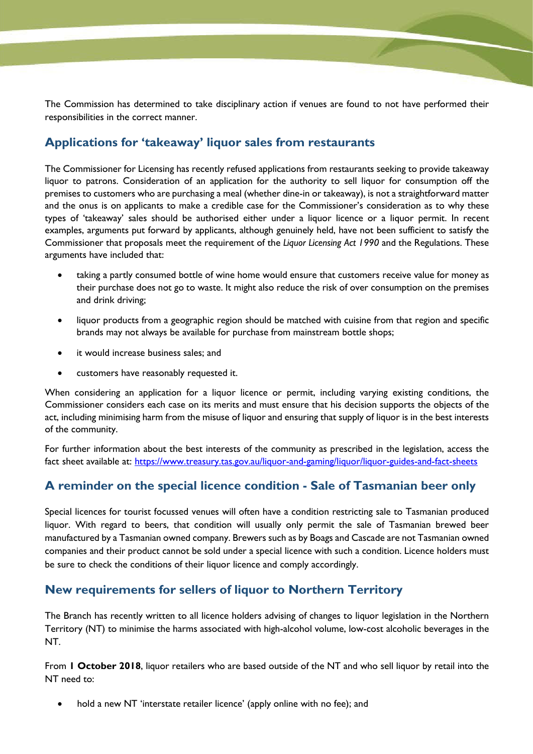The Commission has determined to take disciplinary action if venues are found to not have performed their responsibilities in the correct manner.

# **Applications for 'takeaway' liquor sales from restaurants**

The Commissioner for Licensing has recently refused applications from restaurants seeking to provide takeaway liquor to patrons. Consideration of an application for the authority to sell liquor for consumption off the premises to customers who are purchasing a meal (whether dine-in or takeaway), is not a straightforward matter and the onus is on applicants to make a credible case for the Commissioner's consideration as to why these types of 'takeaway' sales should be authorised either under a liquor licence or a liquor permit. In recent examples, arguments put forward by applicants, although genuinely held, have not been sufficient to satisfy the Commissioner that proposals meet the requirement of the *Liquor Licensing Act 1990* and the Regulations. These arguments have included that:

- taking a partly consumed bottle of wine home would ensure that customers receive value for money as their purchase does not go to waste. It might also reduce the risk of over consumption on the premises and drink driving;
- liquor products from a geographic region should be matched with cuisine from that region and specific brands may not always be available for purchase from mainstream bottle shops;
- it would increase business sales; and
- customers have reasonably requested it.

When considering an application for a liquor licence or permit, including varying existing conditions, the Commissioner considers each case on its merits and must ensure that his decision supports the objects of the act, including minimising harm from the misuse of liquor and ensuring that supply of liquor is in the best interests of the community.

For further information about the best interests of the community as prescribed in the legislation, access the fact sheet available at: <https://www.treasury.tas.gov.au/liquor-and-gaming/liquor/liquor-guides-and-fact-sheets>

# **A reminder on the special licence condition - Sale of Tasmanian beer only**

Special licences for tourist focussed venues will often have a condition restricting sale to Tasmanian produced liquor. With regard to beers, that condition will usually only permit the sale of Tasmanian brewed beer manufactured by a Tasmanian owned company. Brewers such as by Boags and Cascade are not Tasmanian owned companies and their product cannot be sold under a special licence with such a condition. Licence holders must be sure to check the conditions of their liquor licence and comply accordingly.

# **New requirements for sellers of liquor to Northern Territory**

The Branch has recently written to all licence holders advising of changes to liquor legislation in the Northern Territory (NT) to minimise the harms associated with high-alcohol volume, low-cost alcoholic beverages in the NT.

From **1 October 2018**, liquor retailers who are based outside of the NT and who sell liquor by retail into the NT need to:

hold a new NT 'interstate retailer licence' (apply online with no fee); and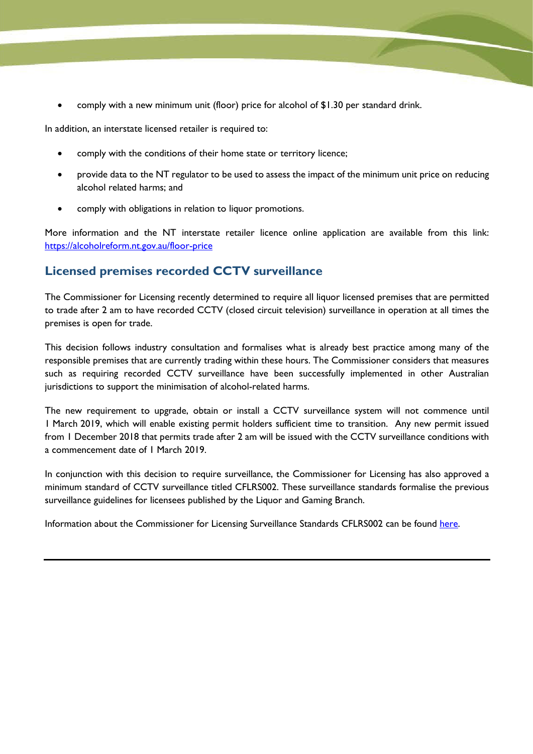• comply with a new minimum unit (floor) price for alcohol of \$1.30 per standard drink.

In addition, an interstate licensed retailer is required to:

- comply with the conditions of their home state or territory licence;
- provide data to the NT regulator to be used to assess the impact of the minimum unit price on reducing alcohol related harms; and
- comply with obligations in relation to liquor promotions.

More information and the NT interstate retailer licence online application are available from this link: <https://alcoholreform.nt.gov.au/floor-price>

# **Licensed premises recorded CCTV surveillance**

The Commissioner for Licensing recently determined to require all liquor licensed premises that are permitted to trade after 2 am to have recorded CCTV (closed circuit television) surveillance in operation at all times the premises is open for trade.

This decision follows industry consultation and formalises what is already best practice among many of the responsible premises that are currently trading within these hours. The Commissioner considers that measures such as requiring recorded CCTV surveillance have been successfully implemented in other Australian jurisdictions to support the minimisation of alcohol-related harms.

The new requirement to upgrade, obtain or install a CCTV surveillance system will not commence until 1 March 2019, which will enable existing permit holders sufficient time to transition. Any new permit issued from 1 December 2018 that permits trade after 2 am will be issued with the CCTV surveillance conditions with a commencement date of 1 March 2019.

In conjunction with this decision to require surveillance, the Commissioner for Licensing has also approved a minimum standard of CCTV surveillance titled CFLRS002. These surveillance standards formalise the previous surveillance guidelines for licensees published by the Liquor and Gaming Branch.

Information about the Commissioner for Licensing Surveillance Standards CFLRS002 can be found [here.](https://www.treasury.tas.gov.au/Documents/CFLRS002%20-%20Technical%20Standards%20for%20recorded%20CCTV%20Surveillance%20for%20Licensed%20Premises.pdf)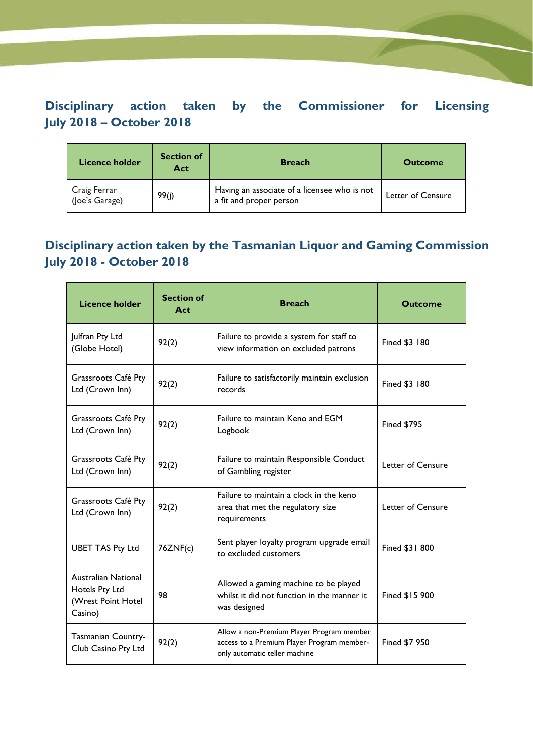# **Disciplinary action taken by the Commissioner for Licensing July 2018 – October 2018**

| <b>Licence holder</b>          | <b>Section of</b><br>Act | <b>Breach</b>                                                           | <b>Outcome</b>    |
|--------------------------------|--------------------------|-------------------------------------------------------------------------|-------------------|
| Craig Ferrar<br>(Joe's Garage) | 99(j)                    | Having an associate of a licensee who is not<br>a fit and proper person | Letter of Censure |

# **Disciplinary action taken by the Tasmanian Liquor and Gaming Commission July 2018 - October 2018**

| <b>Licence holder</b>                                                  | <b>Section of</b><br>Act | <b>Breach</b>                                                                                                            | <b>Outcome</b>     |
|------------------------------------------------------------------------|--------------------------|--------------------------------------------------------------------------------------------------------------------------|--------------------|
| Julfran Pty Ltd<br>(Globe Hotel)                                       | 92(2)                    | Failure to provide a system for staff to<br>view information on excluded patrons                                         | Fined \$3 180      |
| Grassroots Café Pty<br>Ltd (Crown Inn)                                 | 92(2)                    | Failure to satisfactorily maintain exclusion<br>records                                                                  | Fined \$3 180      |
| Grassroots Café Pty<br>Ltd (Crown Inn)                                 | 92(2)                    | Failure to maintain Keno and EGM<br>Logbook                                                                              | <b>Fined \$795</b> |
| Grassroots Café Pty<br>Ltd (Crown Inn)                                 | 92(2)                    | Failure to maintain Responsible Conduct<br>of Gambling register                                                          | Letter of Censure  |
| Grassroots Café Pty<br>Ltd (Crown Inn)                                 | 92(2)                    | Failure to maintain a clock in the keno<br>area that met the regulatory size<br>requirements                             | Letter of Censure  |
| <b>UBET TAS Pty Ltd</b>                                                | 76ZNF(c)                 | Sent player loyalty program upgrade email<br>to excluded customers                                                       | Fined \$31 800     |
| Australian National<br>Hotels Pty Ltd<br>(Wrest Point Hotel<br>Casino) | 98                       | Allowed a gaming machine to be played<br>whilst it did not function in the manner it<br>was designed                     | Fined \$15 900     |
| Tasmanian Country-<br>Club Casino Pty Ltd                              | 92(2)                    | Allow a non-Premium Player Program member<br>access to a Premium Player Program member-<br>only automatic teller machine | Fined \$7 950      |